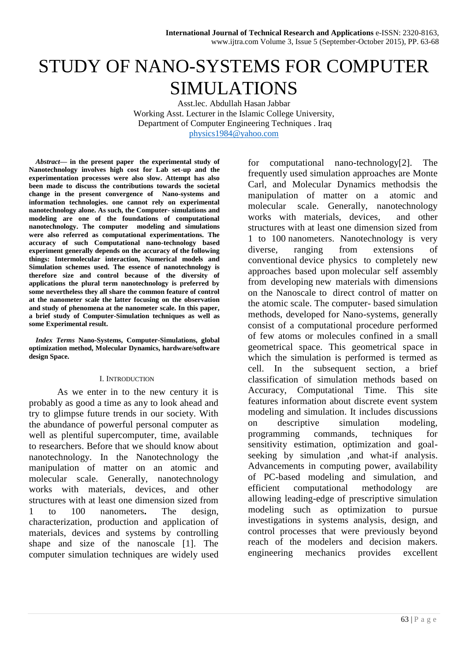# STUDY OF NANO-SYSTEMS FOR COMPUTER SIMULATIONS

Asst.lec. Abdullah Hasan Jabbar Working Asst. Lecturer in the Islamic College University, Department of Computer Engineering Techniques . Iraq [physics1984@yahoo.com](mailto:physics1984@yahoo.com)

*Abstract***— in the present paper the experimental study of Nanotechnology involves high cost for Lab set-up and the experimentation processes were also slow. Attempt has also been made to discuss the contributions towards the societal change in the present convergence of Nano-systems and information technologies. one cannot rely on experimental nanotechnology alone. As such, the Computer- simulations and modeling are one of the foundations of computational nanotechnology. The computer modeling and simulations were also referred as computational experimentations. The accuracy of such Computational nano-technology based experiment generally depends on the accuracy of the following things: Intermolecular interaction, Numerical models and Simulation schemes used. The essence of nanotechnology is therefore size and control because of the diversity of applications the plural term nanotechnology is preferred by some nevertheless they all share the common feature of control at the nanometer scale the latter focusing on the observation and study of phenomena at the nanometer scale. In this paper, a brief study of Computer-Simulation techniques as well as some Experimental result.**

*Index Terms* **Nano-Systems, Computer-Simulations, global optimization method, Molecular Dynamics, hardware/software design Space.**

## I. INTRODUCTION

As we enter in to the new century it is probably as good a time as any to look ahead and try to glimpse future trends in our society. With the abundance of powerful personal computer as well as plentiful supercomputer, time, available to researchers. Before that we should know about nanotechnology. In the Nanotechnology the manipulation of matter on an atomic and molecular scale. Generally, nanotechnology works with materials, devices, and other structures with at least one dimension sized from 1 to 100 nanometers**.** The design, characterization, production and application of materials, devices and systems by controlling shape and size of the nanoscale [1]. The computer simulation techniques are widely used for computational nano-technology[2]. The frequently used simulation approaches are Monte Carl, and Molecular Dynamics methodsis the manipulation of matter on a atomic and molecular scale. Generally, nanotechnology works with materials, devices, and other structures with at least one dimension sized from 1 to 100 nanometers. Nanotechnology is very diverse, ranging from extensions of conventional device physics to completely new approaches based upon molecular self assembly from developing new materials with dimensions on the Nanoscale to direct control of matter on the atomic scale. The computer- based simulation methods, developed for Nano-systems, generally consist of a computational procedure performed of few atoms or molecules confined in a small geometrical space. This geometrical space in which the simulation is performed is termed as cell. In the subsequent section, a brief classification of simulation methods based on Accuracy, Computational Time. This site features information about discrete event system modeling and simulation. It includes discussions on descriptive simulation modeling, programming commands, techniques for sensitivity estimation, optimization and goalseeking by simulation ,and what-if analysis. Advancements in computing power, availability of PC-based modeling and simulation, and efficient computational methodology are allowing leading-edge of prescriptive simulation modeling such as optimization to pursue investigations in systems analysis, design, and control processes that were previously beyond reach of the modelers and decision makers. engineering mechanics provides excellent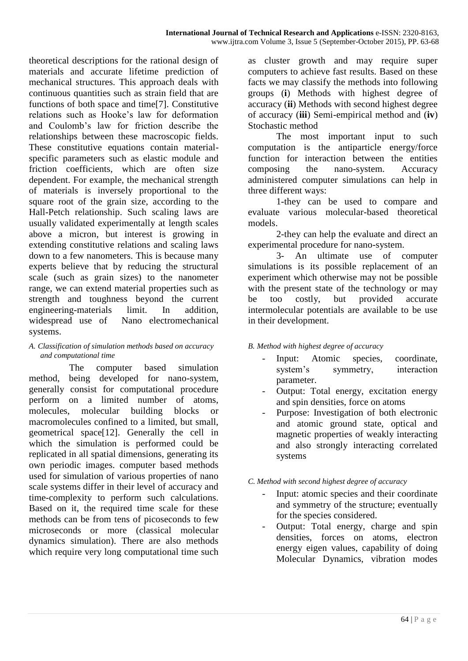theoretical descriptions for the rational design of materials and accurate lifetime prediction of mechanical structures. This approach deals with continuous quantities such as strain field that are functions of both space and time[7]. Constitutive relations such as Hooke's law for deformation and Coulomb's law for friction describe the relationships between these macroscopic fields. These constitutive equations contain materialspecific parameters such as elastic module and friction coefficients, which are often size dependent. For example, the mechanical strength of materials is inversely proportional to the square root of the grain size, according to the Hall-Petch relationship. Such scaling laws are usually validated experimentally at length scales above a micron, but interest is growing in extending constitutive relations and scaling laws down to a few nanometers. This is because many experts believe that by reducing the structural scale (such as grain sizes) to the nanometer range, we can extend material properties such as strength and toughness beyond the current engineering-materials limit. In addition, widespread use of Nano electromechanical systems.

## *A. Classification of simulation methods based on accuracy and computational time*

 The computer based simulation method, being developed for nano-system, generally consist for computational procedure perform on a limited number of atoms, molecules, molecular building blocks or macromolecules confined to a limited, but small, geometrical space[12]. Generally the cell in which the simulation is performed could be replicated in all spatial dimensions, generating its own periodic images. computer based methods used for simulation of various properties of nano scale systems differ in their level of accuracy and time-complexity to perform such calculations. Based on it, the required time scale for these methods can be from tens of picoseconds to few microseconds or more (classical molecular dynamics simulation). There are also methods which require very long computational time such as cluster growth and may require super computers to achieve fast results. Based on these facts we may classify the methods into following groups (**i**) Methods with highest degree of accuracy (**ii**) Methods with second highest degree of accuracy (**iii**) Semi-empirical method and (**iv**) Stochastic method

The most important input to such computation is the antiparticle energy/force function for interaction between the entities composing the nano-system. Accuracy administered computer simulations can help in three different ways:

1-they can be used to compare and evaluate various molecular-based theoretical models.

2-they can help the evaluate and direct an experimental procedure for nano-system.

3- An ultimate use of computer simulations is its possible replacement of an experiment which otherwise may not be possible with the present state of the technology or may be too costly, but provided accurate intermolecular potentials are available to be use in their development.

*B. Method with highest degree of accuracy* 

- Input: Atomic species, coordinate, system's symmetry, interaction parameter.
- Output: Total energy, excitation energy and spin densities, force on atoms
- Purpose: Investigation of both electronic and atomic ground state, optical and magnetic properties of weakly interacting and also strongly interacting correlated systems

*C. Method with second highest degree of accuracy* 

- Input: atomic species and their coordinate and symmetry of the structure; eventually for the species considered.
- Output: Total energy, charge and spin densities, forces on atoms, electron energy eigen values, capability of doing Molecular Dynamics, vibration modes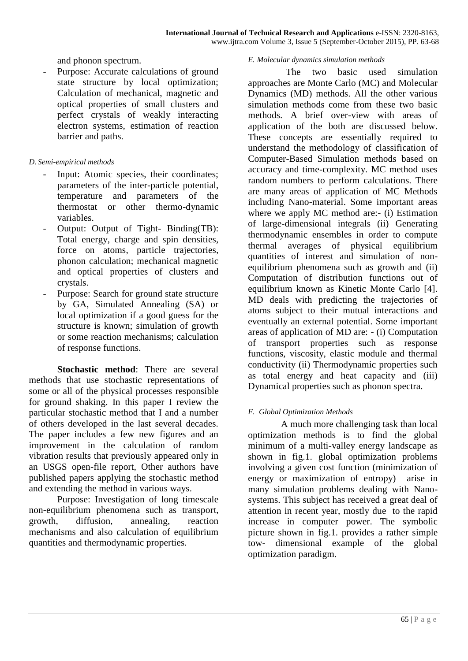and phonon spectrum.

Purpose: Accurate calculations of ground state structure by local optimization; Calculation of mechanical, magnetic and optical properties of small clusters and perfect crystals of weakly interacting electron systems, estimation of reaction barrier and paths.

# *D. Semi-empirical methods*

- Input: Atomic species, their coordinates; parameters of the inter-particle potential, temperature and parameters of the thermostat or other thermo-dynamic variables.
- Output: Output of Tight- Binding(TB): Total energy, charge and spin densities, force on atoms, particle trajectories, phonon calculation; mechanical magnetic and optical properties of clusters and crystals.
- Purpose: Search for ground state structure by GA, Simulated Annealing (SA) or local optimization if a good guess for the structure is known; simulation of growth or some reaction mechanisms; calculation of response functions.

**Stochastic method**: There are several methods that use stochastic representations of some or all of the physical processes responsible for ground shaking. In this paper I review the particular stochastic method that I and a number of others developed in the last several decades. The paper includes a few new figures and an improvement in the calculation of random vibration results that previously appeared only in an USGS open-file report, Other authors have published papers applying the stochastic method and extending the method in various ways.

Purpose: Investigation of long timescale non-equilibrium phenomena such as transport, growth, diffusion, annealing, reaction mechanisms and also calculation of equilibrium quantities and thermodynamic properties.

## *E. Molecular dynamics simulation methods*

 The two basic used simulation approaches are Monte Carlo (MC) and Molecular Dynamics (MD) methods. All the other various simulation methods come from these two basic methods. A brief over-view with areas of application of the both are discussed below. These concepts are essentially required to understand the methodology of classification of Computer-Based Simulation methods based on accuracy and time-complexity. MC method uses random numbers to perform calculations. There are many areas of application of MC Methods including Nano-material. Some important areas where we apply MC method are:- (i) Estimation of large-dimensional integrals (ii) Generating thermodynamic ensembles in order to compute thermal averages of physical equilibrium quantities of interest and simulation of nonequilibrium phenomena such as growth and (ii) Computation of distribution functions out of equilibrium known as Kinetic Monte Carlo [4]. MD deals with predicting the trajectories of atoms subject to their mutual interactions and eventually an external potential. Some important areas of application of MD are: - (i) Computation of transport properties such as response functions, viscosity, elastic module and thermal conductivity (ii) Thermodynamic properties such as total energy and heat capacity and (iii) Dynamical properties such as phonon spectra.

# *F. Global Optimization Methods*

 A much more challenging task than local optimization methods is to find the global minimum of a multi-valley energy landscape as shown in fig.1. global optimization problems involving a given cost function (minimization of energy or maximization of entropy) arise in many simulation problems dealing with Nanosystems. This subject has received a great deal of attention in recent year, mostly due to the rapid increase in computer power. The symbolic picture shown in fig.1. provides a rather simple tow- dimensional example of the global optimization paradigm.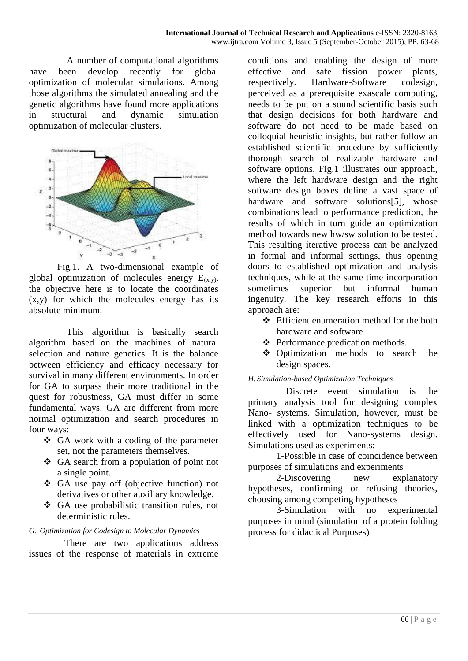A number of computational algorithms have been develop recently for global optimization of molecular simulations. Among those algorithms the simulated annealing and the genetic algorithms have found more applications in structural and dynamic simulation optimization of molecular clusters.



Fig.1. A two-dimensional example of global optimization of molecules energy  $E_{(x,y)}$ . the objective here is to locate the coordinates (x,y) for which the molecules energy has its absolute minimum.

 This algorithm is basically search algorithm based on the machines of natural selection and nature genetics. It is the balance between efficiency and efficacy necessary for survival in many different environments. In order for GA to surpass their more traditional in the quest for robustness, GA must differ in some fundamental ways. GA are different from more normal optimization and search procedures in four ways:

- GA work with a coding of the parameter set, not the parameters themselves.
- GA search from a population of point not a single point.
- GA use pay off (objective function) not derivatives or other auxiliary knowledge.
- GA use probabilistic transition rules, not deterministic rules.

# *G. Optimization for Codesign to Molecular Dynamics*

There are two applications address issues of the response of materials in extreme

conditions and enabling the design of more effective and safe fission power plants, respectively. Hardware-Software codesign, perceived as a prerequisite exascale computing, needs to be put on a sound scientific basis such that design decisions for both hardware and software do not need to be made based on colloquial heuristic insights, but rather follow an established scientific procedure by sufficiently thorough search of realizable hardware and software options. Fig.1 illustrates our approach, where the left hardware design and the right software design boxes define a vast space of hardware and software solutions[5], whose combinations lead to performance prediction, the results of which in turn guide an optimization method towards new hw/sw solution to be tested. This resulting iterative process can be analyzed in formal and informal settings, thus opening doors to established optimization and analysis techniques, while at the same time incorporation sometimes superior but informal human ingenuity. The key research efforts in this approach are:

- Efficient enumeration method for the both hardware and software.
- Performance predication methods.
- Optimization methods to search the design spaces.

# *H. Simulation-based Optimization Techniques*

 Discrete event simulation is the primary analysis tool for designing complex Nano- systems. Simulation, however, must be linked with a optimization techniques to be effectively used for Nano-systems design. Simulations used as experiments:

1-Possible in case of coincidence between purposes of simulations and experiments

2-Discovering new explanatory hypotheses, confirming or refusing theories, choosing among competing hypotheses

3-Simulation with no experimental purposes in mind (simulation of a protein folding process for didactical Purposes)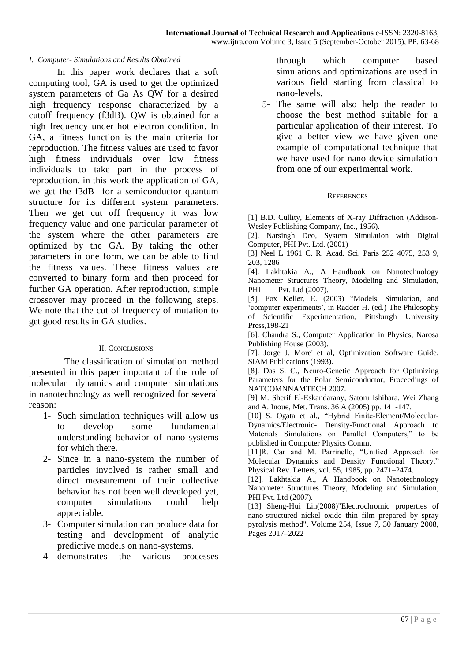## *I. Computer- Simulations and Results Obtained*

In this paper work declares that a soft computing tool, GA is used to get the optimized system parameters of Ga As QW for a desired high frequency response characterized by a cutoff frequency (f3dB). QW is obtained for a high frequency under hot electron condition. In GA, a fitness function is the main criteria for reproduction. The fitness values are used to favor high fitness individuals over low fitness individuals to take part in the process of reproduction. in this work the application of GA, we get the f3dB for a semiconductor quantum structure for its different system parameters. Then we get cut off frequency it was low frequency value and one particular parameter of the system where the other parameters are optimized by the GA. By taking the other parameters in one form, we can be able to find the fitness values. These fitness values are converted to binary form and then proceed for further GA operation. After reproduction, simple crossover may proceed in the following steps. We note that the cut of frequency of mutation to get good results in GA studies.

## II. CONCLUSIONS

 The classification of simulation method presented in this paper important of the role of molecular dynamics and computer simulations in nanotechnology as well recognized for several reason:

- 1- Such simulation techniques will allow us to develop some fundamental understanding behavior of nano-systems for which there.
- 2- Since in a nano-system the number of particles involved is rather small and direct measurement of their collective behavior has not been well developed yet, computer simulations could help appreciable.
- 3- Computer simulation can produce data for testing and development of analytic predictive models on nano-systems.
- 4- demonstrates the various processes

through which computer based simulations and optimizations are used in various field starting from classical to nano-levels.

5- The same will also help the reader to choose the best method suitable for a particular application of their interest. To give a better view we have given one example of computational technique that we have used for nano device simulation from one of our experimental work.

#### **REFERENCES**

[1] B.D. Cullity, Elements of X-ray Diffraction (Addison-Wesley Publishing Company, Inc., 1956).

[2]. Narsingh Deo, System Simulation with Digital Computer, PHI Pvt. Ltd. (2001)

[3] Neel L 1961 C. R. Acad. Sci. Paris 252 4075, 253 9, 203, 1286

[4]. Lakhtakia A., A Handbook on Nanotechnology Nanometer Structures Theory, Modeling and Simulation, PHI Pvt. Ltd (2007).

[5]. Fox Keller, E. (2003) "Models, Simulation, and 'computer experiments', in Radder H. (ed.) The Philosophy of Scientific Experimentation, Pittsburgh University Press,198-21

[6]. Chandra S., Computer Application in Physics, Narosa Publishing House (2003).

[7]. Jorge J. More' et al, Optimization Software Guide, SIAM Publications (1993).

[8]. Das S. C., Neuro-Genetic Approach for Optimizing Parameters for the Polar Semiconductor, Proceedings of NATCOMNNAMTECH 2007.

[9] M. Sherif El-Eskandarany, Satoru Ishihara, Wei Zhang and A. Inoue, Met. Trans. 36 A (2005) pp. 141-147.

[10] S. Ogata et al., "Hybrid Finite-Element/Molecular-Dynamics/Electronic- Density-Functional Approach to Materials Simulations on Parallel Computers," to be published in Computer Physics Comm.

[11]R. Car and M. Parrinello, "Unified Approach for Molecular Dynamics and Density Functional Theory," Physical Rev. Letters, vol. 55, 1985, pp. 2471–2474.

[12]. Lakhtakia A., A Handbook on Nanotechnology Nanometer Structures Theory, Modeling and Simulation, PHI Pvt. Ltd (2007).

[13] Sheng-Hui Lin(2008)"Electrochromic properties of nano-structured nickel oxide thin film prepared by spray pyrolysis method". Volume 254, Issue 7, 30 January 2008, Pages 2017–2022